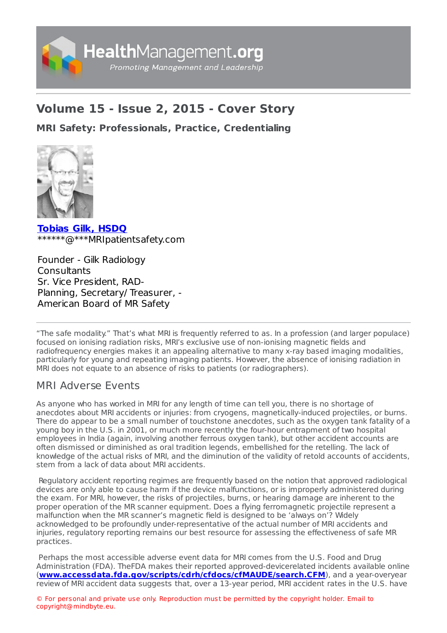

# **Volume 15 - Issue 2, 2015 - Cover Story**

**MRI Safety: [Professionals,](https://healthmanagement.org/s/mri-safety-professionals-practice-credentialing) Practice, Credentialing**



**[Tobias](https://healthmanagement.org/viewProfile/73950/Tobias_Gilk) Gilk, HSDQ** \*\*\*\*\*\*@\*\*\*MRIpatientsafety.com

Founder - Gilk Radiology **Consultants** Sr. Vice President, RAD-Planning, Secretary/ Treasurer, - American Board of MR Safety

"The safe modality." That's what MRI is frequently referred to as. In a profession (and larger populace) focused on ionising radiation risks, MRI's exclusive use of non-ionising magnetic fields and radiofrequency energies makes it an appealing alternative to many x-ray based imaging modalities, particularly for young and repeating imaging patients. However, the absence of ionising radiation in MRI does not equate to an absence of risks to patients (or radiographers).

# MRI Adverse Events

As anyone who has worked in MRI for any length of time can tell you, there is no shortage of anecdotes about MRI accidents or injuries: from cryogens, magnetically-induced projectiles, or burns. There do appear to be a small number of touchstone anecdotes, such as the oxygen tank fatality of a young boy in the U.S. in 2001, or much more recently the four-hour entrapment of two hospital employees in India (again, involving another ferrous oxygen tank), but other accident accounts are often dismissed or diminished as oral tradition legends, embellished for the retelling. The lack of knowledge of the actual risks of MRI, and the diminution of the validity of retold accounts of accidents, stem from a lack of data about MRI accidents.

Regulatory accident reporting regimes are frequently based on the notion that approved radiological devices are only able to cause harm if the device malfunctions, or is improperly administered during the exam. For MRI, however, the risks of projectiles, burns, or hearing damage are inherent to the proper operation of the MR scanner equipment. Does a flying ferromagnetic projectile represent a malfunction when the MR scanner's magnetic field is designed to be 'always on'? Widely acknowledged to be profoundly under-representative of the actual number of MRI accidents and injuries, regulatory reporting remains our best resource for assessing the effectiveness of safe MR practices.

Perhaps the most accessible adverse event data for MRI comes from the U.S. Food and Drug Administration (FDA). TheFDA makes their reported approved-devicerelated incidents available online (**[www.accessdata.fda.gov/scripts/cdrh/cfdocs/cfMAUDE/search.CFM](http://www.accessdata.fda.gov/scripts/cdrh/cfdocs/cfMAUDE/search.CFM)**), and a year-overyear review of MRI accident data suggests that, over a 13-year period, MRI accident rates in the U.S. have

© For personal and private use only. Reproduction must be permitted by the copyright holder. Email to copyright@mindbyte.eu.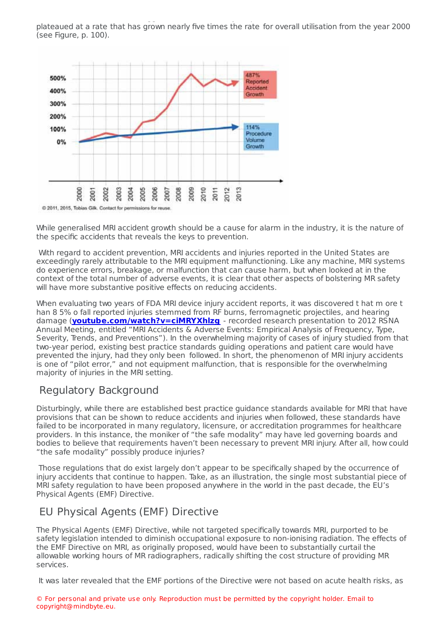review of MRI accident data suggests that, over a 13-year period, MRI accident rates in the U.S. have plateaued at a rate that has grown nearly five times the rate for overall utilisation from the year 2000 (see Figure, p. 100).



While generalised MRI accident growth should be a cause for alarm in the industry, it is the nature of the specific accidents that reveals the keys to prevention.

With regard to accident prevention, MRI accidents and injuries reported in the United States are exceedingly rarely attributable to the MRI equipment malfunctioning. Like any machine, MRI systems do experience errors, breakage, or malfunction that can cause harm, but when looked at in the context of the total number of adverse events, it is clear that other aspects of bolstering MR safety will have more substantive positive effects on reducing accidents.

When evaluating two years of FDA MRI device injury accident reports, it was discovered t hat m ore t han 8 5% o fall reported injuries stemmed from RF burns, ferromagnetic projectiles, and hearing damage (**[youtube.com/watch?v=ciMRYXhlzg](https://www.youtube.com/watch?v=c-iMRYXhlzg)** - recorded research presentation to 2012 RSNA Annual Meeting, entitled "MRI Accidents & Adverse Events: Empirical Analysis of Frequency, Type, Severity, Trends, and Preventions"). In the overwhelming majority of cases of injury studied from that two-year period, existing best practice standards guiding operations and patient care would have prevented the injury, had they only been followed. In short, the phenomenon of MRI injury accidents is one of "pilot error," and not equipment malfunction, that is responsible for the overwhelming majority of injuries in the MRI setting.

# Regulatory Background

Disturbingly, while there are established best practice guidance standards available for MRI that have provisions that can be shown to reduce accidents and injuries when followed, these standards have failed to be incorporated in many regulatory, licensure, or accreditation programmes for healthcare providers. In this instance, the moniker of "the safe modality" may have led governing boards and bodies to believe that requirements haven't been necessary to prevent MRI injury. After all, how could "the safe modality" possibly produce injuries?

Those regulations that do exist largely don't appear to be specifically shaped by the occurrence of injury accidents that continue to happen. Take, as an illustration, the single most substantial piece of MRI safety regulation to have been proposed anywhere in the world in the past decade, the EU's Physical Agents (EMF) Directive.

### EU Physical Agents (EMF) Directive

The Physical Agents (EMF) Directive, while not targeted specifically towards MRI, purported to be safety legislation intended to diminish occupational exposure to non-ionising radiation. The effects of the EMF Directive on MRI, as originally proposed, would have been to substantially curtail the allowable working hours of MR radiographers, radically shifting the cost structure of providing MR services.

It was later revealed that the EMF portions of the Directive were not based on acute health risks, as

© For personal and private use only. Reproduction must be permitted by the copyright holder. Email to copyright@mindbyte.eu.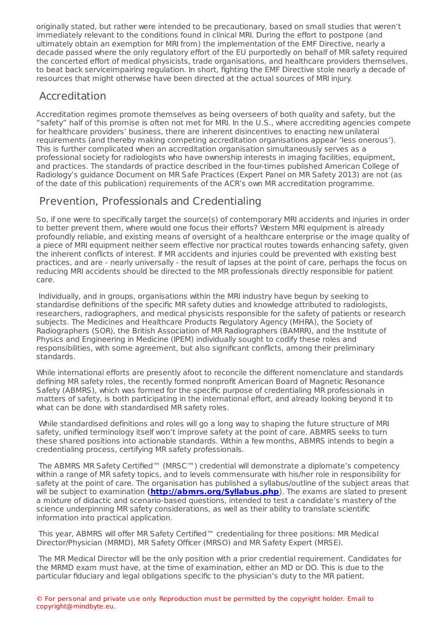It was later revealed that the EMF point of the EMF point  $\alpha$  acute health risks, as as directive were not based on acute health risks, as as as a more revealed on acute health risks, as as as as as as as as as as as as originally stated, but rather were intended to be precautionary, based on small studies that weren't immediately relevant to the conditions found in clinical MRI. During the effort to postpone (and ultimately obtain an exemption for MRI from) the implementation of the EMF Directive, nearly a decade passed where the only regulatory effort of the EU purportedly on behalf of MR safety required the concerted effort of medical physicists, trade organisations, and healthcare providers themselves, to beat back serviceimpairing regulation. In short, fighting the EMF Directive stole nearly a decade of resources that might otherwise have been directed at the actual sources of MRI injury.

### Accreditation

Accreditation regimes promote themselves as being overseers of both quality and safety, but the "safety" half of this promise is often not met for MRI. In the U.S., where accrediting agencies compete for healthcare providers' business, there are inherent disincentives to enacting new unilateral requirements (and thereby making competing accreditation organisations appear 'less onerous'). This is further complicated when an accreditation organisation simultaneously serves as a professional society for radiologists who have ownership interests in imaging facilities, equipment, and practices. The standards of practice described in the four-times published American College of Radiology's guidance Document on MR Safe Practices (Expert Panel on MR Safety 2013) are not (as of the date of this publication) requirements of the ACR's own MR accreditation programme.

# Prevention, Professionals and Credentialing

So, if one were to specifically target the source(s) of contemporary MRI accidents and injuries in order to better prevent them, where would one focus their efforts? Western MRI equipment is already profoundly reliable, and existing means of oversight of a healthcare enterprise or the image quality of a piece of MRI equipment neither seem effective nor practical routes towards enhancing safety, given the inherent conflicts of interest. If MR accidents and injuries could be prevented with existing best practices, and are - nearly universally - the result of lapses at the point of care, perhaps the focus on reducing MRI accidents should be directed to the MR professionals directly responsible for patient care.

Individually, and in groups, organisations within the MRI industry have begun by seeking to standardise definitions of the specific MR safety duties and knowledge attributed to radiologists, researchers, radiographers, and medical physicists responsible for the safety of patients or research subjects. The Medicines and Healthcare Products Regulatory Agency (MHRA), the Society of Radiographers (SOR), the British Association of MR Radiographers (BAMRR), and the Institute of Physics and Engineering in Medicine (IPEM) individually sought to codify these roles and responsibilities, with some agreement, but also significant conflicts, among their preliminary standards.

While international efforts are presently afoot to reconcile the different nomenclature and standards defining MR safety roles, the recently formed nonprofit American Board of Magnetic Resonance Safety (ABMRS), which was formed for the specific purpose of credentialing MR professionals in matters of safety, is both participating in the international effort, and already looking beyond it to what can be done with standardised MR safety roles.

While standardised definitions and roles will go a long way to shaping the future structure of MRI safety, unified terminology itself won't improve safety at the point of care. ABMRS seeks to turn these shared positions into actionable standards. Within a few months, ABMRS intends to begin a credentialing process, certifying MR safety professionals.

The ABMRS MR Safety Certified™ (MRSC™) credential will demonstrate a diplomate's competency within a range of MR safety topics, and to levels commensurate with his/her role in responsibility for safety at the point of care. The organisation has published a syllabus/outline of the subject areas that will be subject to examination (**http://abmrs.org/Syllabus.php**). The exams are slated to present a mixture of didactic and scenario-based questions, intended to test a candidate's mastery of the science underpinning MR safety considerations, as well as their ability to translate scientific information into practical application.

This year, ABMRS will offer MR Safety Certified™ credentialing for three positions: MR Medical Director/Physician (MRMD), MR Safety Officer (MRSO) and MR Safety Expert (MRSE).

The MR Medical Director will be the only position with a prior credential requirement. Candidates for the MRMD exam must have, at the time of examination, either an MD or DO. This is due to the particular fiduciary and legal obligations specific to the physician's duty to the MR patient.